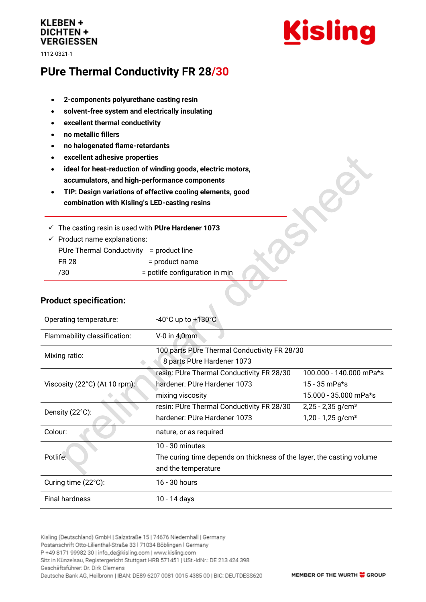## **KLEBEN + DICHTEN + VERGIESSEN**

1112-0321-1



# **PUre Thermal Conductivity FR 28/30**

- **2-components polyurethane casting resin**
- **solvent-free system and electrically insulating**
- **excellent thermal conductivity**
- **no metallic fillers**
- **no halogenated flame-retardants**
- **excellent adhesive properties**
- **ideal for heat-reduction of winding goods, electric motors, accumulators, and high-performance components**
- **TIP: Design variations of effective cooling elements, good combination with Kisling's LED-casting resins**

✓ The casting resin is used with **PUre Hardener 1073**

 $\checkmark$  Product name explanations: PUre Thermal Conductivity = product line FR 28 = product name /30 = potlife configuration in min

#### **Product specification:**

| Operating temperature:                 | $-40^{\circ}$ C up to $+130^{\circ}$ C                                     |                                 |
|----------------------------------------|----------------------------------------------------------------------------|---------------------------------|
| Flammability classification:           | $V-0$ in 4,0mm                                                             |                                 |
| Mixing ratio:                          | 100 parts PUre Thermal Conductivity FR 28/30<br>8 parts PUre Hardener 1073 |                                 |
| Viscosity $(22^{\circ}C)$ (At 10 rpm): | resin: PUre Thermal Conductivity FR 28/30                                  | 100.000 - 140.000 mPa*s         |
|                                        | hardener: PUre Hardener 1073                                               | $15 - 35$ mPa*s                 |
|                                        | mixing viscosity                                                           | 15.000 - 35.000 mPa*s           |
| Density (22°C):                        | resin: PUre Thermal Conductivity FR 28/30                                  | $2,25 - 2,35$ g/cm <sup>3</sup> |
|                                        | hardener: PUre Hardener 1073                                               | $1,20 - 1,25$ g/cm <sup>3</sup> |
| Colour:                                | nature, or as required                                                     |                                 |
| Potlife:                               | $10 - 30$ minutes                                                          |                                 |
|                                        | The curing time depends on thickness of the layer, the casting volume      |                                 |
|                                        | and the temperature                                                        |                                 |
| Curing time (22°C):                    | 16 - 30 hours                                                              |                                 |
| <b>Final hardness</b>                  | 10 - 14 days                                                               |                                 |

 $\blacklozenge$ 

Kisling (Deutschland) GmbH | Salzstraße 15 | 74676 Niedernhall | Germany Postanschrift Otto-Lilienthal-Straße 33 | 71034 Böblingen | Germany P +49 8171 99982 30 | info\_de@kisling.com | www.kisling.com Sitz in Künzelsau, Registergericht Stuttgart HRB 571451 | USt.-IdNr.: DE 213 424 398 Geschäftsführer: Dr. Dirk Clemens Deutsche Bank AG, Heilbronn | IBAN: DE89 6207 0081 0015 4385 00 | BIC: DEUTDESS620